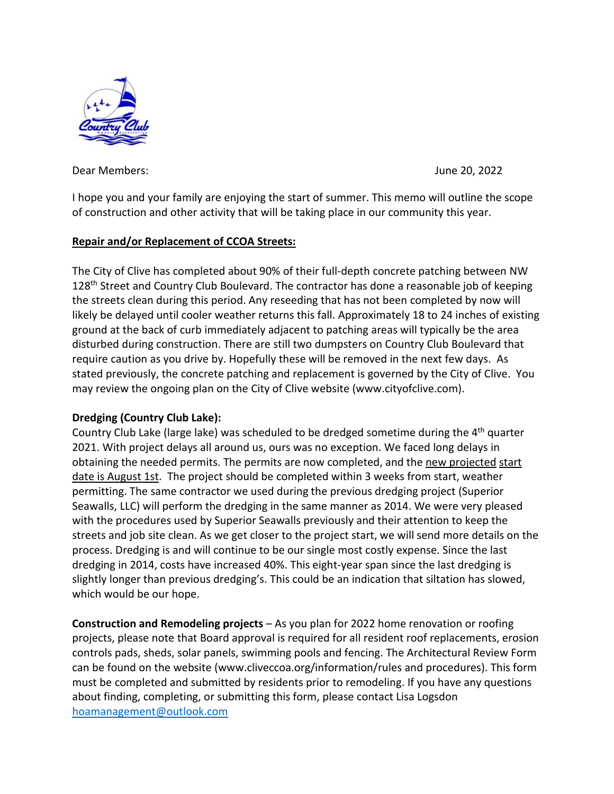

Dear Members: June 20, 2022

I hope you and your family are enjoying the start of summer. This memo will outline the scope of construction and other activity that will be taking place in our community this year.

## **Repair and/or Replacement of CCOA Streets:**

The City of Clive has completed about 90% of their full-depth concrete patching between NW 128<sup>th</sup> Street and Country Club Boulevard. The contractor has done a reasonable job of keeping the streets clean during this period. Any reseeding that has not been completed by now will likely be delayed until cooler weather returns this fall. Approximately 18 to 24 inches of existing ground at the back of curb immediately adjacent to patching areas will typically be the area disturbed during construction. There are still two dumpsters on Country Club Boulevard that require caution as you drive by. Hopefully these will be removed in the next few days. As stated previously, the concrete patching and replacement is governed by the City of Clive. You may review the ongoing plan on the City of Clive website (www.cityofclive.com).

## **Dredging (Country Club Lake):**

Country Club Lake (large lake) was scheduled to be dredged sometime during the 4<sup>th</sup> quarter 2021. With project delays all around us, ours was no exception. We faced long delays in obtaining the needed permits. The permits are now completed, and the new projected start date is August 1st. The project should be completed within 3 weeks from start, weather permitting. The same contractor we used during the previous dredging project (Superior Seawalls, LLC) will perform the dredging in the same manner as 2014. We were very pleased with the procedures used by Superior Seawalls previously and their attention to keep the streets and job site clean. As we get closer to the project start, we will send more details on the process. Dredging is and will continue to be our single most costly expense. Since the last dredging in 2014, costs have increased 40%. This eight-year span since the last dredging is slightly longer than previous dredging's. This could be an indication that siltation has slowed, which would be our hope.

**Construction and Remodeling projects** – As you plan for 2022 home renovation or roofing projects, please note that Board approval is required for all resident roof replacements, erosion controls pads, sheds, solar panels, swimming pools and fencing. The Architectural Review Form can be found on the website (www.cliveccoa.org/information/rules and procedures). This form must be completed and submitted by residents prior to remodeling. If you have any questions about finding, completing, or submitting this form, please contact Lisa Logsdon [hoamanagement@outlook.com](mailto:hoamanagement@outlook.com)